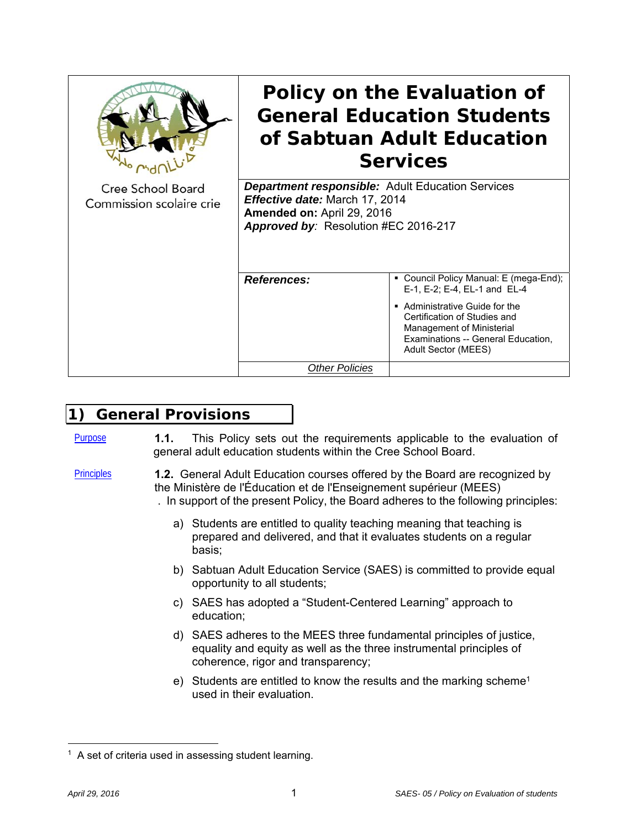|                                               | Policy on the Evaluation of<br><b>General Education Students</b><br>of Sabtuan Adult Education<br><b>Services</b><br><b>Department responsible:</b> Adult Education Services<br><b>Effective date: March 17, 2014</b><br>Amended on: April 29, 2016<br>Approved by: Resolution #EC 2016-217 |                                                                                                                                                                                                                                  |  |
|-----------------------------------------------|---------------------------------------------------------------------------------------------------------------------------------------------------------------------------------------------------------------------------------------------------------------------------------------------|----------------------------------------------------------------------------------------------------------------------------------------------------------------------------------------------------------------------------------|--|
| Cree School Board<br>Commission scolaire crie |                                                                                                                                                                                                                                                                                             |                                                                                                                                                                                                                                  |  |
|                                               | <b>References:</b>                                                                                                                                                                                                                                                                          | • Council Policy Manual: E (mega-End);<br>E-1, E-2; E-4, EL-1 and EL-4<br>Administrative Guide for the<br>Certification of Studies and<br>Management of Ministerial<br>Examinations -- General Education,<br>Adult Sector (MEES) |  |
|                                               | <b>Other Policies</b>                                                                                                                                                                                                                                                                       |                                                                                                                                                                                                                                  |  |

# **1) General Provisions**

- Purpose **1.1.** This Policy sets out the requirements applicable to the evaluation of general adult education students within the Cree School Board.
- Principles **1.2.** General Adult Education courses offered by the Board are recognized by the Ministère de l'Éducation et de l'Enseignement supérieur (MEES) . In support of the present Policy, the Board adheres to the following principles:
	- a) Students are entitled to quality teaching meaning that teaching is prepared and delivered, and that it evaluates students on a regular basis;
	- b) Sabtuan Adult Education Service (SAES) is committed to provide equal opportunity to all students;
	- c) SAES has adopted a "Student-Centered Learning" approach to education;
	- d) SAES adheres to the MEES three fundamental principles of justice, equality and equity as well as the three instrumental principles of coherence, rigor and transparency;
	- e) Students are entitled to know the results and the marking scheme<sup>1</sup> used in their evaluation.

 $1$  A set of criteria used in assessing student learning.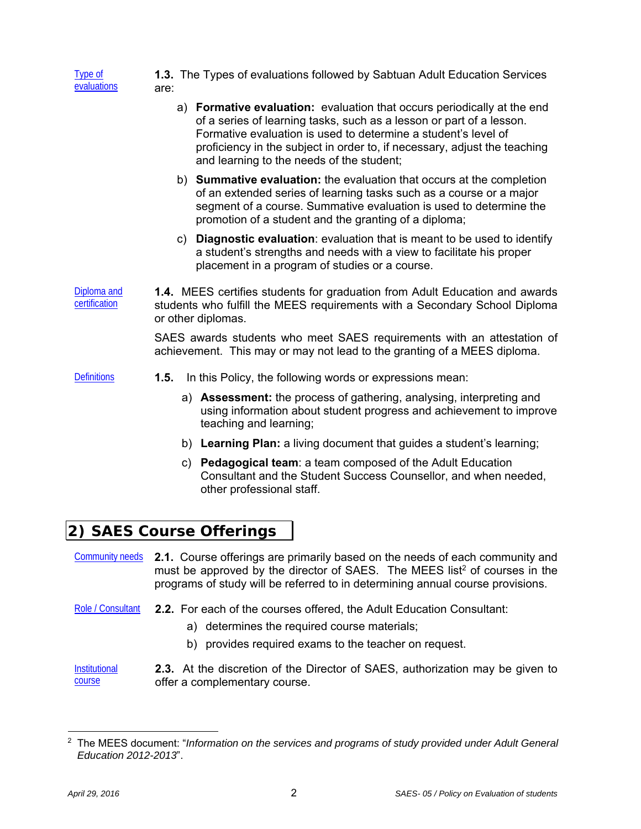| Type of<br>evaluations       | 1.3. The Types of evaluations followed by Sabtuan Adult Education Services<br>are:                                                                                                                                                                                                                                                          |
|------------------------------|---------------------------------------------------------------------------------------------------------------------------------------------------------------------------------------------------------------------------------------------------------------------------------------------------------------------------------------------|
|                              | a) Formative evaluation: evaluation that occurs periodically at the end<br>of a series of learning tasks, such as a lesson or part of a lesson.<br>Formative evaluation is used to determine a student's level of<br>proficiency in the subject in order to, if necessary, adjust the teaching<br>and learning to the needs of the student; |
|                              | b) Summative evaluation: the evaluation that occurs at the completion<br>of an extended series of learning tasks such as a course or a major<br>segment of a course. Summative evaluation is used to determine the<br>promotion of a student and the granting of a diploma;                                                                 |
|                              | c) Diagnostic evaluation: evaluation that is meant to be used to identify<br>a student's strengths and needs with a view to facilitate his proper<br>placement in a program of studies or a course.                                                                                                                                         |
| Diploma and<br>certification | 1.4. MEES certifies students for graduation from Adult Education and awards<br>students who fulfill the MEES requirements with a Secondary School Diploma<br>or other diplomas.                                                                                                                                                             |
|                              | SAES awards students who meet SAES requirements with an attestation of<br>achievement. This may or may not lead to the granting of a MEES diploma.                                                                                                                                                                                          |
| <b>Definitions</b>           | 1.5.<br>In this Policy, the following words or expressions mean:                                                                                                                                                                                                                                                                            |
|                              | a) <b>Assessment:</b> the process of gathering, analysing, interpreting and<br>using information about student progress and achievement to improve<br>teaching and learning;                                                                                                                                                                |
|                              | b) Learning Plan: a living document that guides a student's learning;                                                                                                                                                                                                                                                                       |
|                              | c) Pedagogical team: a team composed of the Adult Education<br>Consultant and the Student Success Counsellor, and when needed,<br>other professional staff.                                                                                                                                                                                 |
|                              | 2) SAES Course Offerings                                                                                                                                                                                                                                                                                                                    |
| <b>Community needs</b>       | 2.1. Course offerings are primarily based on the needs of each community and<br>must be approved by the director of SAES. The MEES list <sup>2</sup> of courses in the<br>programs of study will be referred to in determining annual course provisions.                                                                                    |

- Role / Consultant **2.2.** For each of the courses offered, the Adult Education Consultant:
	- a) determines the required course materials;
	- b) provides required exams to the teacher on request.

**Institutional** course **2.3.** At the discretion of the Director of SAES, authorization may be given to offer a complementary course.

<sup>2</sup> The MEES document: "*Information on the services and programs of study provided under Adult General Education 2012-2013*".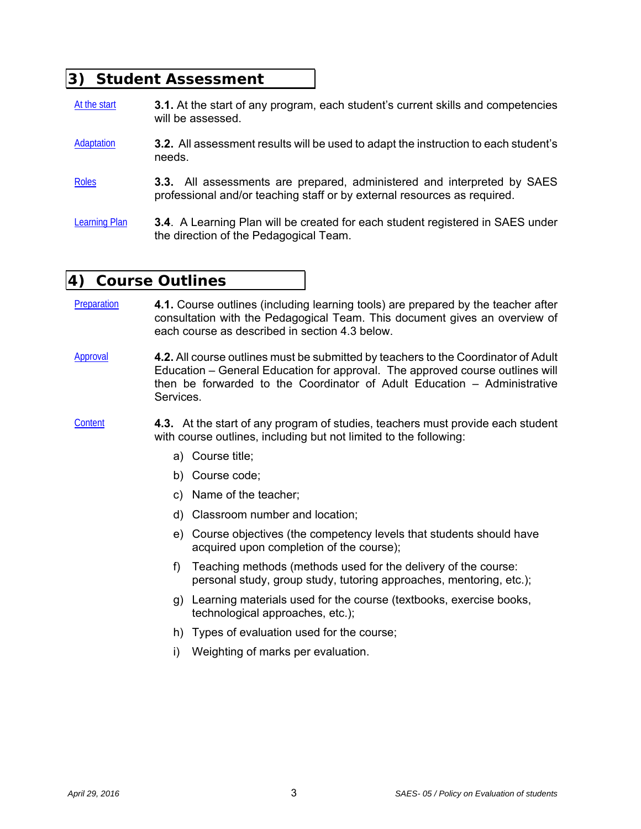# **3) Student Assessment**

- At the start **3.1.** At the start of any program, each student's current skills and competencies will be assessed.
- Adaptation **3.2.** All assessment results will be used to adapt the instruction to each student's needs.
- Roles **3.3.** All assessments are prepared, administered and interpreted by SAES professional and/or teaching staff or by external resources as required.
- Learning Plan **3.4**. A Learning Plan will be created for each student registered in SAES under the direction of the Pedagogical Team.

## **4) Course Outlines**

- Preparation **4.1.** Course outlines (including learning tools) are prepared by the teacher after consultation with the Pedagogical Team. This document gives an overview of each course as described in section 4.3 below.
- Approval **4.2.** All course outlines must be submitted by teachers to the Coordinator of Adult Education – General Education for approval. The approved course outlines will then be forwarded to the Coordinator of Adult Education – Administrative Services.
- Content **4.3.** At the start of any program of studies, teachers must provide each student with course outlines, including but not limited to the following:
	- a) Course title;
	- b) Course code;
	- c) Name of the teacher;
	- d) Classroom number and location;
	- e) Course objectives (the competency levels that students should have acquired upon completion of the course);
	- f) Teaching methods (methods used for the delivery of the course: personal study, group study, tutoring approaches, mentoring, etc.);
	- g) Learning materials used for the course (textbooks, exercise books, technological approaches, etc.);
	- h) Types of evaluation used for the course;
	- i) Weighting of marks per evaluation.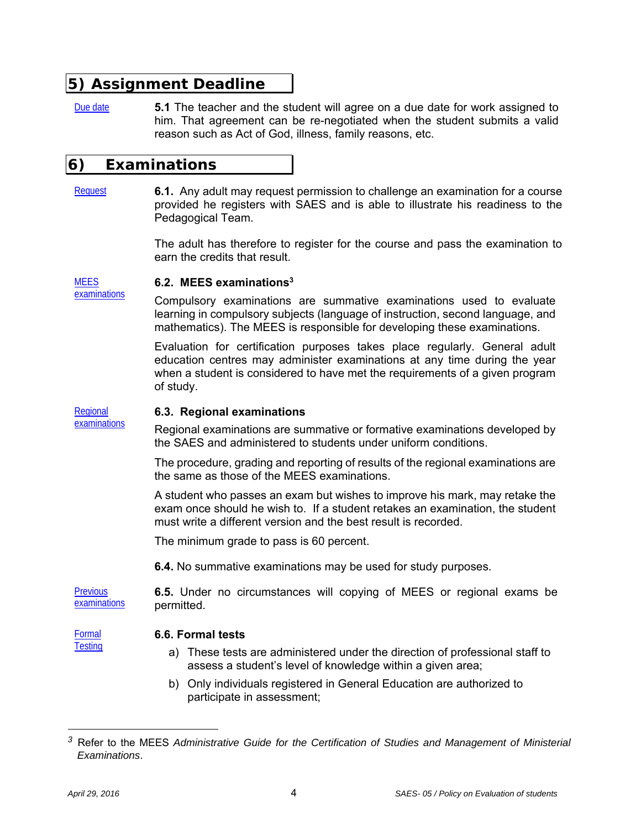# **5) Assignment Deadline**

Due date **5.1** The teacher and the student will agree on a due date for work assigned to him. That agreement can be re-negotiated when the student submits a valid reason such as Act of God, illness, family reasons, etc.

## **6) Examinations**

Request **6.1.** Any adult may request permission to challenge an examination for a course provided he registers with SAES and is able to illustrate his readiness to the Pedagogical Team.

> The adult has therefore to register for the course and pass the examination to earn the credits that result.

#### **MEES 6.2. MEES examinations3**

examinations

Compulsory examinations are summative examinations used to evaluate learning in compulsory subjects (language of instruction, second language, and mathematics). The MEES is responsible for developing these examinations.

Evaluation for certification purposes takes place regularly. General adult education centres may administer examinations at any time during the year when a student is considered to have met the requirements of a given program of study.

#### Regional examinations **6.3. Regional examinations**

Regional examinations are summative or formative examinations developed by the SAES and administered to students under uniform conditions.

The procedure, grading and reporting of results of the regional examinations are the same as those of the MEES examinations.

A student who passes an exam but wishes to improve his mark, may retake the exam once should he wish to. If a student retakes an examination, the student must write a different version and the best result is recorded.

The minimum grade to pass is 60 percent.

**6.4.** No summative examinations may be used for study purposes.

**Previous** examinations **6.5.** Under no circumstances will copying of MEES or regional exams be permitted.

Formal **Testing** 

### **6.6. Formal tests**

- a) These tests are administered under the direction of professional staff to assess a student's level of knowledge within a given area;
- b) Only individuals registered in General Education are authorized to participate in assessment;

*<sup>3</sup>* Refer to the MEES *Administrative Guide for the Certification of Studies and Management of Ministerial Examinations*.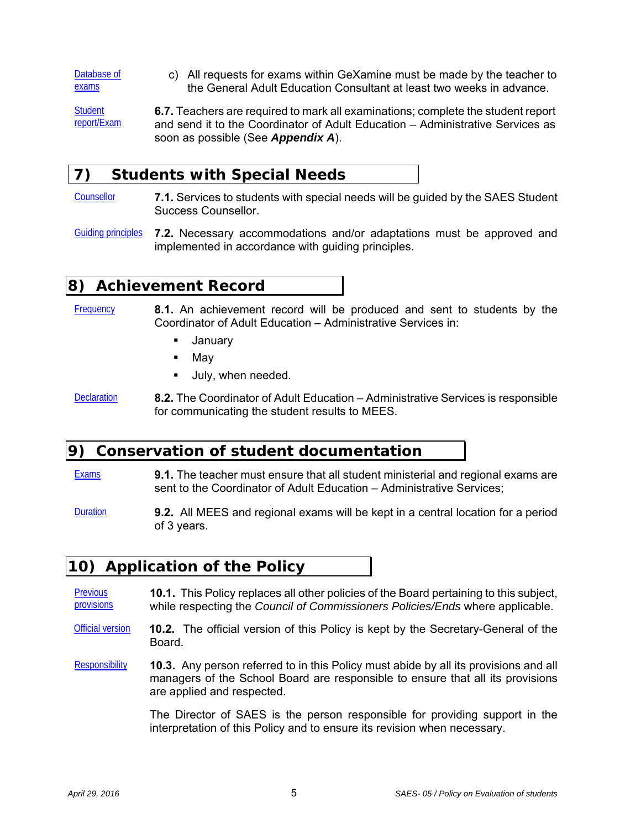Database of exams c) All requests for exams within GeXamine must be made by the teacher to the General Adult Education Consultant at least two weeks in advance.

**Student** report/Exam **6.7.** Teachers are required to mark all examinations; complete the student report and send it to the Coordinator of Adult Education – Administrative Services as soon as possible (See *Appendix A*).

### **7) Students with Special Needs**

- Counsellor **7.1.** Services to students with special needs will be guided by the SAES Student Success Counsellor.
- Guiding principles **7.2.** Necessary accommodations and/or adaptations must be approved and implemented in accordance with guiding principles.

### **8) Achievement Record**

Frequency **8.1.** An achievement record will be produced and sent to students by the Coordinator of Adult Education – Administrative Services in:

- **January**
- $-May$
- **July, when needed.**
- Declaration **8.2.** The Coordinator of Adult Education Administrative Services is responsible for communicating the student results to MEES.

### **9) Conservation of student documentation**

- Exams **9.1.** The teacher must ensure that all student ministerial and regional exams are sent to the Coordinator of Adult Education – Administrative Services;
- Duration **9.2.** All MEES and regional exams will be kept in a central location for a period of 3 years.

### **10) Application of the Policy**

- **Previous** provisions **10.1.** This Policy replaces all other policies of the Board pertaining to this subject, while respecting the *Council of Commissioners Policies/Ends* where applicable.
- Official version **10.2.** The official version of this Policy is kept by the Secretary-General of the **Board**
- Responsibility **10.3.** Any person referred to in this Policy must abide by all its provisions and all managers of the School Board are responsible to ensure that all its provisions are applied and respected.

The Director of SAES is the person responsible for providing support in the interpretation of this Policy and to ensure its revision when necessary.